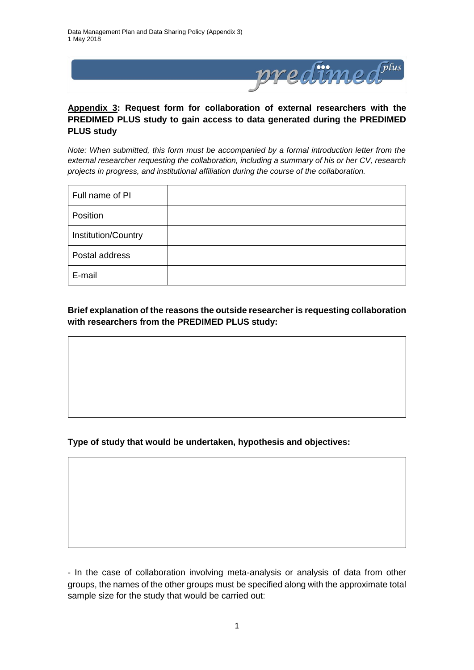

## **Appendix 3: Request form for collaboration of external researchers with the PREDIMED PLUS study to gain access to data generated during the PREDIMED PLUS study**

*Note: When submitted, this form must be accompanied by a formal introduction letter from the external researcher requesting the collaboration, including a summary of his or her CV, research projects in progress, and institutional affiliation during the course of the collaboration.* 

| Full name of PI     |  |
|---------------------|--|
| Position            |  |
| Institution/Country |  |
| Postal address      |  |
| E-mail              |  |

## **Brief explanation of the reasons the outside researcher is requesting collaboration with researchers from the PREDIMED PLUS study:**

## **Type of study that would be undertaken, hypothesis and objectives:**

- In the case of collaboration involving meta-analysis or analysis of data from other groups, the names of the other groups must be specified along with the approximate total sample size for the study that would be carried out: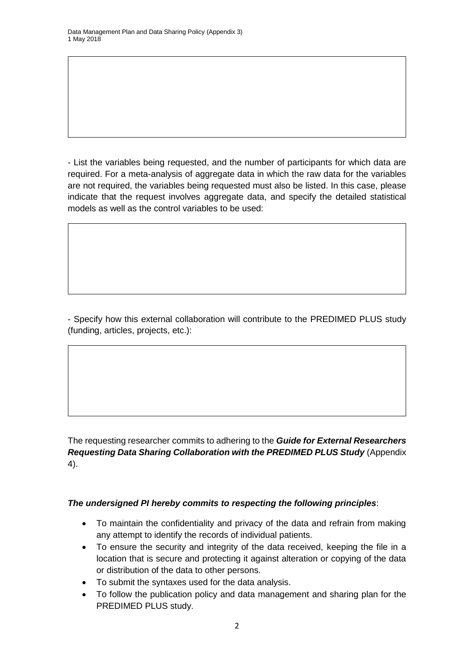- List the variables being requested, and the number of participants for which data are required. For a meta-analysis of aggregate data in which the raw data for the variables are not required, the variables being requested must also be listed. In this case, please indicate that the request involves aggregate data, and specify the detailed statistical models as well as the control variables to be used:

- Specify how this external collaboration will contribute to the PREDIMED PLUS study (funding, articles, projects, etc.):

The requesting researcher commits to adhering to the *Guide for External Researchers Requesting Data Sharing Collaboration with the PREDIMED PLUS Study* (Appendix 4).

## *The undersigned PI hereby commits to respecting the following principles*:

- To maintain the confidentiality and privacy of the data and refrain from making any attempt to identify the records of individual patients.
- To ensure the security and integrity of the data received, keeping the file in a location that is secure and protecting it against alteration or copying of the data or distribution of the data to other persons.
- To submit the syntaxes used for the data analysis.
- To follow the publication policy and data management and sharing plan for the PREDIMED PLUS study.